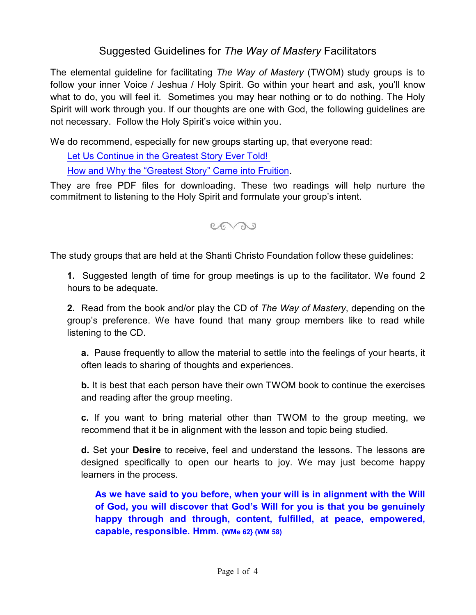## Suggested Guidelines for *The Way of Mastery* Facilitators

The elemental guideline for facilitating *The Way of Mastery* (TWOM) study groups is to follow your inner Voice / Jeshua / Holy Spirit. Go within your heart and ask, you'll know what to do, you will feel it. Sometimes you may hear nothing or to do nothing. The Holy Spirit will work through you. If our thoughts are one with God, the following guidelines are not necessary. Follow the Holy Spirit's voice within you.

We do recommend, especially for new groups starting up, that everyone read:

[Let Us Continue in the Greatest Story Ever Told!](https://shantichristo.com/who-we-are/our-essential-purpose/)  [How and Why the "Greatest Story" Came into Fruition](https://shantichristo.com/who-we-are/our-essential-purpose/).

They are free PDF files for downloading. These two readings will help nurture the commitment to listening to the Holy Spirit and formulate your group's intent.

 $C_{\odot}$ 

The study groups that are held at the Shanti Christo Foundation follow these guidelines:

**1.** Suggested length of time for group meetings is up to the facilitator. We found 2 hours to be adequate.

**2.** Read from the book and/or play the CD of *The Way of Mastery*, depending on the group's preference. We have found that many group members like to read while listening to the CD.

**a.** Pause frequently to allow the material to settle into the feelings of your hearts, it often leads to sharing of thoughts and experiences.

**b.** It is best that each person have their own TWOM book to continue the exercises and reading after the group meeting.

**c.** If you want to bring material other than TWOM to the group meeting, we recommend that it be in alignment with the lesson and topic being studied.

**d.** Set your **Desire** to receive, feel and understand the lessons. The lessons are designed specifically to open our hearts to joy. We may just become happy learners in the process.

**As we have said to you before, when your will is in alignment with the Will of God, you will discover that God's Will for you is that you be genuinely happy through and through, content, fulfilled, at peace, empowered, capable, responsible. Hmm. {WMe 62} (WM 58)**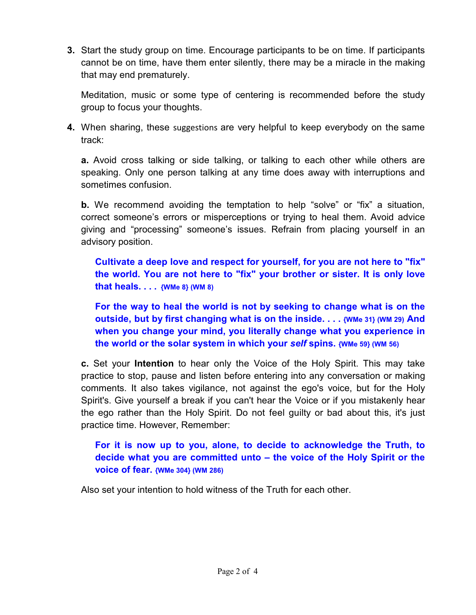**3.** Start the study group on time. Encourage participants to be on time. If participants cannot be on time, have them enter silently, there may be a miracle in the making that may end prematurely.

Meditation, music or some type of centering is recommended before the study group to focus your thoughts.

**4.** When sharing, these suggestions are very helpful to keep everybody on the same track:

**a.** Avoid cross talking or side talking, or talking to each other while others are speaking. Only one person talking at any time does away with interruptions and sometimes confusion.

**b.** We recommend avoiding the temptation to help "solve" or "fix" a situation, correct someone's errors or misperceptions or trying to heal them. Avoid advice giving and "processing" someone's issues. Refrain from placing yourself in an advisory position.

**Cultivate a deep love and respect for yourself, for you are not here to "fix" the world. You are not here to "fix" your brother or sister. It is only love that heals. . . . {WMe 8} (WM 8)**

**For the way to heal the world is not by seeking to change what is on the outside, but by first changing what is on the inside. . . . {WMe 31} (WM 29) And when you change your mind, you literally change what you experience in the world or the solar system in which your** *self* **spins. {WMe 59} (WM 56)**

**c.** Set your **Intention** to hear only the Voice of the Holy Spirit. This may take practice to stop, pause and listen before entering into any conversation or making comments. It also takes vigilance, not against the ego's voice, but for the Holy Spirit's. Give yourself a break if you can't hear the Voice or if you mistakenly hear the ego rather than the Holy Spirit. Do not feel guilty or bad about this, it's just practice time. However, Remember:

## **For it is now up to you, alone, to decide to acknowledge the Truth, to decide what you are committed unto – the voice of the Holy Spirit or the voice of fear. {WMe 304} (WM 286)**

Also set your intention to hold witness of the Truth for each other.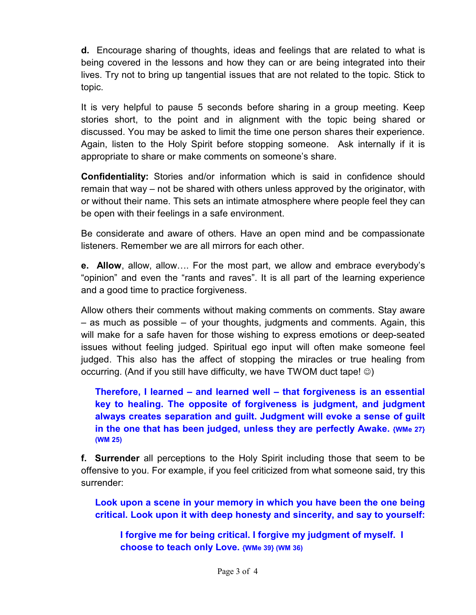**d.** Encourage sharing of thoughts, ideas and feelings that are related to what is being covered in the lessons and how they can or are being integrated into their lives. Try not to bring up tangential issues that are not related to the topic. Stick to topic.

It is very helpful to pause 5 seconds before sharing in a group meeting. Keep stories short, to the point and in alignment with the topic being shared or discussed. You may be asked to limit the time one person shares their experience. Again, listen to the Holy Spirit before stopping someone. Ask internally if it is appropriate to share or make comments on someone's share.

**Confidentiality:** Stories and/or information which is said in confidence should remain that way – not be shared with others unless approved by the originator, with or without their name. This sets an intimate atmosphere where people feel they can be open with their feelings in a safe environment.

Be considerate and aware of others. Have an open mind and be compassionate listeners. Remember we are all mirrors for each other.

**e. Allow**, allow, allow…. For the most part, we allow and embrace everybody's "opinion" and even the "rants and raves". It is all part of the learning experience and a good time to practice forgiveness.

Allow others their comments without making comments on comments. Stay aware – as much as possible – of your thoughts, judgments and comments. Again, this will make for a safe haven for those wishing to express emotions or deep-seated issues without feeling judged. Spiritual ego input will often make someone feel judged. This also has the affect of stopping the miracles or true healing from occurring. (And if you still have difficulty, we have TWOM duct tape!  $\circledcirc$ )

**Therefore, I learned – and learned well – that forgiveness is an essential key to healing. The opposite of forgiveness is judgment, and judgment always creates separation and guilt. Judgment will evoke a sense of guilt in the one that has been judged, unless they are perfectly Awake. {WMe 27} (WM 25)**

**f. Surrender** all perceptions to the Holy Spirit including those that seem to be offensive to you. For example, if you feel criticized from what someone said, try this surrender:

**Look upon a scene in your memory in which you have been the one being critical. Look upon it with deep honesty and sincerity, and say to yourself:**

**I forgive me for being critical. I forgive my judgment of myself. I choose to teach only Love. {WMe 39} (WM 36)**